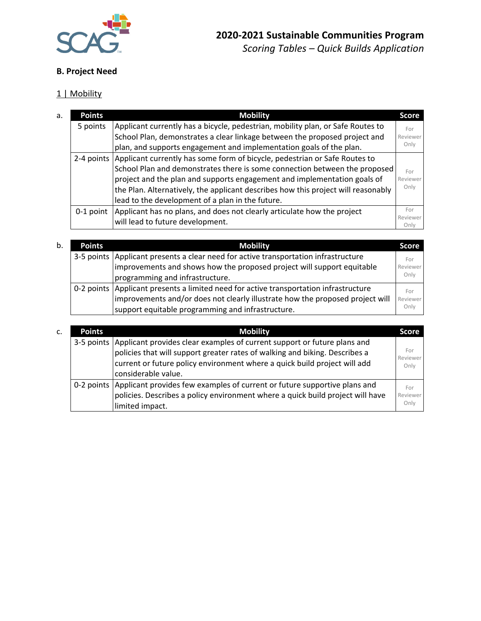

# **B. Project Need**

# 1 | Mobility

| a. | <b>Points</b> | <b>Mobility</b>                                                                       | <b>Score</b>     |
|----|---------------|---------------------------------------------------------------------------------------|------------------|
|    | 5 points      | Applicant currently has a bicycle, pedestrian, mobility plan, or Safe Routes to       | For              |
|    |               | School Plan, demonstrates a clear linkage between the proposed project and            | Reviewer         |
|    |               | plan, and supports engagement and implementation goals of the plan.                   | Only             |
|    |               | 2-4 points Applicant currently has some form of bicycle, pedestrian or Safe Routes to |                  |
|    |               | School Plan and demonstrates there is some connection between the proposed            | For              |
|    |               | project and the plan and supports engagement and implementation goals of              | Reviewer         |
|    |               | the Plan. Alternatively, the applicant describes how this project will reasonably     | Only             |
|    |               | lead to the development of a plan in the future.                                      |                  |
|    |               | 0-1 point Applicant has no plans, and does not clearly articulate how the project     | For              |
|    |               | will lead to future development.                                                      | Reviewer<br>Onlv |

| b. | <b>Points</b> | <b>Mobility</b>                                                                         | Score    |
|----|---------------|-----------------------------------------------------------------------------------------|----------|
|    |               | 3-5 points   Applicant presents a clear need for active transportation infrastructure   | For      |
|    |               | improvements and shows how the proposed project will support equitable                  | Reviewer |
|    |               | programming and infrastructure.                                                         | Only     |
|    |               | 0-2 points   Applicant presents a limited need for active transportation infrastructure | For      |
|    |               | improvements and/or does not clearly illustrate how the proposed project will           | Reviewer |
|    |               | support equitable programming and infrastructure.                                       | Only     |

| $C_{\cdot}$ | <b>Points</b> | <b>Mobility</b>                                                                                                                                                                                                                                                        | <b>Score</b>            |
|-------------|---------------|------------------------------------------------------------------------------------------------------------------------------------------------------------------------------------------------------------------------------------------------------------------------|-------------------------|
|             |               | 3-5 points Applicant provides clear examples of current support or future plans and<br>policies that will support greater rates of walking and biking. Describes a<br>current or future policy environment where a quick build project will add<br>considerable value. | For<br>Reviewer<br>Only |
|             |               | 0-2 points   Applicant provides few examples of current or future supportive plans and<br>policies. Describes a policy environment where a quick build project will have<br>limited impact.                                                                            | For<br>Reviewer<br>Only |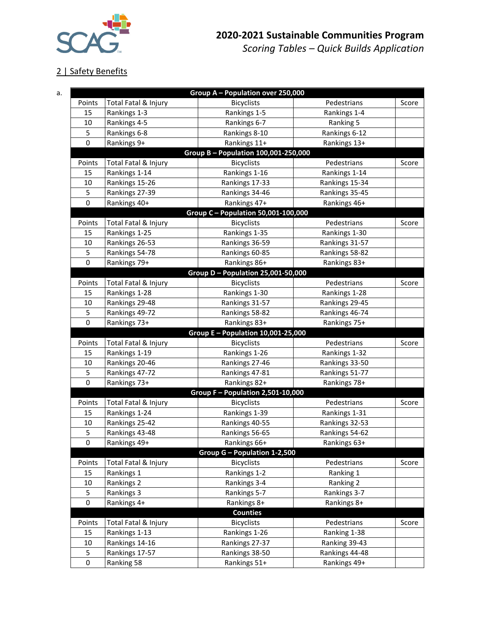

# 2 | Safety Benefits

|        |                      | Group A - Population over 250,000    |                |       |
|--------|----------------------|--------------------------------------|----------------|-------|
| Points | Total Fatal & Injury | <b>Bicyclists</b>                    | Pedestrians    | Score |
| 15     | Rankings 1-3         | Rankings 1-5                         | Rankings 1-4   |       |
| 10     | Rankings 4-5         | Rankings 6-7                         | Ranking 5      |       |
| 5      | Rankings 6-8         | Rankings 8-10                        | Rankings 6-12  |       |
| 0      | Rankings 9+          | Rankings 11+                         | Rankings 13+   |       |
|        |                      | Group B - Population 100,001-250,000 |                |       |
| Points | Total Fatal & Injury | <b>Bicyclists</b>                    | Pedestrians    | Score |
| 15     | Rankings 1-14        | Rankings 1-16                        | Rankings 1-14  |       |
| 10     | Rankings 15-26       | Rankings 17-33                       | Rankings 15-34 |       |
| 5      | Rankings 27-39       | Rankings 34-46                       | Rankings 35-45 |       |
| 0      | Rankings 40+         | Rankings 47+                         | Rankings 46+   |       |
|        |                      | Group C - Population 50,001-100,000  |                |       |
| Points | Total Fatal & Injury | <b>Bicyclists</b>                    | Pedestrians    | Score |
| 15     | Rankings 1-25        | Rankings 1-35                        | Rankings 1-30  |       |
| 10     | Rankings 26-53       | Rankings 36-59                       | Rankings 31-57 |       |
| 5      | Rankings 54-78       | Rankings 60-85                       | Rankings 58-82 |       |
| 0      | Rankings 79+         | Rankings 86+                         | Rankings 83+   |       |
|        |                      | Group D - Population 25,001-50,000   |                |       |
| Points | Total Fatal & Injury | <b>Bicyclists</b>                    | Pedestrians    | Score |
| 15     | Rankings 1-28        | Rankings 1-30                        | Rankings 1-28  |       |
| 10     | Rankings 29-48       | Rankings 31-57                       | Rankings 29-45 |       |
| 5      | Rankings 49-72       | Rankings 58-82                       | Rankings 46-74 |       |
| 0      | Rankings 73+         | Rankings 83+                         | Rankings 75+   |       |
|        |                      | Group E - Population 10,001-25,000   |                |       |
| Points | Total Fatal & Injury | <b>Bicyclists</b>                    | Pedestrians    | Score |
| 15     | Rankings 1-19        | Rankings 1-26                        | Rankings 1-32  |       |
| 10     | Rankings 20-46       | Rankings 27-46                       | Rankings 33-50 |       |
| 5      | Rankings 47-72       | Rankings 47-81                       | Rankings 51-77 |       |
| 0      | Rankings 73+         | Rankings 82+                         | Rankings 78+   |       |
|        |                      | Group F - Population 2,501-10,000    |                |       |
| Points | Total Fatal & Injury | <b>Bicyclists</b>                    | Pedestrians    | Score |
| 15     | Rankings 1-24        | Rankings 1-39                        | Rankings 1-31  |       |
| 10     | Rankings 25-42       | Rankings 40-55                       | Rankings 32-53 |       |
| 5      | Rankings 43-48       | Rankings 56-65                       | Rankings 54-62 |       |
| 0      | Rankings 49+         | Rankings 66+                         | Rankings 63+   |       |
|        |                      | Group G - Population 1-2,500         |                |       |
| Points | Total Fatal & Injury | <b>Bicyclists</b>                    | Pedestrians    | Score |
| 15     | Rankings 1           | Rankings 1-2                         | Ranking 1      |       |
| 10     | Rankings 2           | Rankings 3-4                         | Ranking 2      |       |
| 5      | Rankings 3           | Rankings 5-7                         | Rankings 3-7   |       |
| 0      | Rankings 4+          | Rankings 8+                          | Rankings 8+    |       |
|        |                      | <b>Counties</b>                      |                |       |
| Points | Total Fatal & Injury | <b>Bicyclists</b>                    | Pedestrians    | Score |
| 15     | Rankings 1-13        | Rankings 1-26                        | Ranking 1-38   |       |
| 10     | Rankings 14-16       | Rankings 27-37                       | Ranking 39-43  |       |
| 5      | Rankings 17-57       | Rankings 38-50                       | Rankings 44-48 |       |
| 0      | Ranking 58           | Rankings 51+                         | Rankings 49+   |       |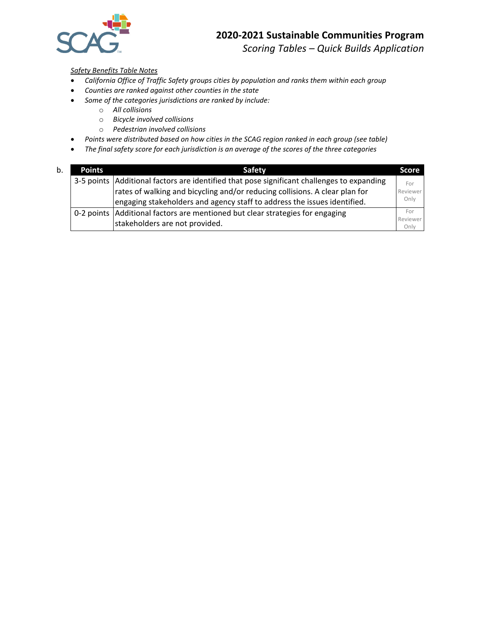

# **2020‐2021 Sustainable Communities Program**

*Scoring Tables – Quick Builds Application*

#### *Safety Benefits Table Notes*

- *California Office of Traffic Safety groups cities by population and ranks them within each group*
- *Counties are ranked against other counties in the state*
- *Some of the categories jurisdictions are ranked by include:*
	- o *All collisions*
	- o *Bicycle involved collisions*
	- o *Pedestrian involved collisions*
- *Points were distributed based on how cities in the SCAG region ranked in each group (see table)*
- *The final safety score for each jurisdiction is an average of the scores of the three categories*

| b. | <b>Points</b> | Safety                                                                                       | Score            |
|----|---------------|----------------------------------------------------------------------------------------------|------------------|
|    |               | 3-5 points   Additional factors are identified that pose significant challenges to expanding | For              |
|    |               | rates of walking and bicycling and/or reducing collisions. A clear plan for                  | Reviewer         |
|    |               | engaging stakeholders and agency staff to address the issues identified.                     | Only             |
|    |               | 0-2 points Additional factors are mentioned but clear strategies for engaging                | For              |
|    |               | stakeholders are not provided.                                                               | Reviewer<br>Only |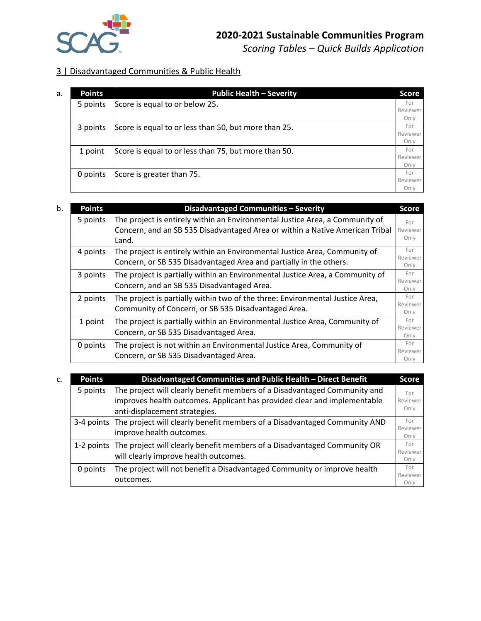

# **2020‐2021 Sustainable Communities Program**

*Scoring Tables – Quick Builds Application*

# 3 | Disadvantaged Communities & Public Health

| a. | <b>Points</b> | <b>Public Health - Severity</b>                      | <b>Score</b>            |
|----|---------------|------------------------------------------------------|-------------------------|
|    | 5 points      | Score is equal to or below 25.                       | For<br>Reviewer<br>Only |
|    | 3 points      | Score is equal to or less than 50, but more than 25. | For<br>Reviewer<br>Only |
|    | 1 point       | Score is equal to or less than 75, but more than 50. | For<br>Reviewer<br>Only |
|    | 0 points      | Score is greater than 75.                            | For<br>Reviewer<br>Onlv |

| b. | <b>Points</b> | Disadvantaged Communities - Severity                                                                                                                                  | <b>Score</b>            |
|----|---------------|-----------------------------------------------------------------------------------------------------------------------------------------------------------------------|-------------------------|
|    | 5 points      | The project is entirely within an Environmental Justice Area, a Community of<br>Concern, and an SB 535 Disadvantaged Area or within a Native American Tribal<br>Land. | For<br>Reviewer<br>Only |
|    | 4 points      | The project is entirely within an Environmental Justice Area, Community of<br>Concern, or SB 535 Disadvantaged Area and partially in the others.                      | For<br>Reviewer<br>Only |
|    | 3 points      | The project is partially within an Environmental Justice Area, a Community of<br>Concern, and an SB 535 Disadvantaged Area.                                           | For<br>Reviewer<br>Only |
|    | 2 points      | The project is partially within two of the three: Environmental Justice Area,<br>Community of Concern, or SB 535 Disadvantaged Area.                                  | For<br>Reviewer<br>Only |
|    | 1 point       | The project is partially within an Environmental Justice Area, Community of<br>Concern, or SB 535 Disadvantaged Area.                                                 | For<br>Reviewer<br>Only |
|    | 0 points      | The project is not within an Environmental Justice Area, Community of<br>Concern, or SB 535 Disadvantaged Area.                                                       | For<br>Reviewer<br>Only |

| c. | <b>Points</b> | Disadvantaged Communities and Public Health - Direct Benefit                           | <b>Score</b>     |
|----|---------------|----------------------------------------------------------------------------------------|------------------|
|    | 5 points      | The project will clearly benefit members of a Disadvantaged Community and              | For              |
|    |               | improves health outcomes. Applicant has provided clear and implementable               | Reviewer         |
|    |               | anti-displacement strategies.                                                          | Only             |
|    |               | 3-4 points   The project will clearly benefit members of a Disadvantaged Community AND | For              |
|    |               | improve health outcomes.                                                               | Reviewer<br>Only |
|    |               | 1-2 points The project will clearly benefit members of a Disadvantaged Community OR    | For              |
|    |               | will clearly improve health outcomes.                                                  | Reviewer<br>Only |
|    | 0 points      | The project will not benefit a Disadvantaged Community or improve health               | For              |
|    |               | outcomes.                                                                              | Reviewer         |
|    |               |                                                                                        | Onlv             |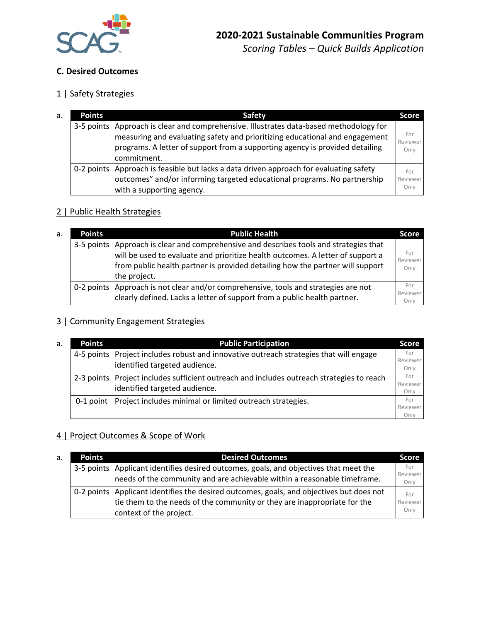

#### **C. Desired Outcomes**

#### 1 | Safety Strategies

| a. | <b>Points</b> | Safety                                                                                                                                                                                                                                                               | Score                   |
|----|---------------|----------------------------------------------------------------------------------------------------------------------------------------------------------------------------------------------------------------------------------------------------------------------|-------------------------|
|    |               | 3-5 points Approach is clear and comprehensive. Illustrates data-based methodology for<br>measuring and evaluating safety and prioritizing educational and engagement<br>programs. A letter of support from a supporting agency is provided detailing<br>commitment. | For<br>Reviewer<br>Only |
|    |               | 0-2 points   Approach is feasible but lacks a data driven approach for evaluating safety<br>outcomes" and/or informing targeted educational programs. No partnership<br>with a supporting agency.                                                                    | For<br>Reviewer<br>Only |

#### 2 | Public Health Strategies

| a. | <b>Points</b> | <b>Public Health</b>                                                                                                                                                                                                                                                      | <b>Score</b>            |
|----|---------------|---------------------------------------------------------------------------------------------------------------------------------------------------------------------------------------------------------------------------------------------------------------------------|-------------------------|
|    |               | 3-5 points Approach is clear and comprehensive and describes tools and strategies that<br>will be used to evaluate and prioritize health outcomes. A letter of support a<br>from public health partner is provided detailing how the partner will support<br>the project. | For<br>Reviewer<br>Only |
|    |               | 0-2 points Approach is not clear and/or comprehensive, tools and strategies are not<br>clearly defined. Lacks a letter of support from a public health partner.                                                                                                           | For<br>Reviewer<br>Only |

## 3 | Community Engagement Strategies

| a. | <b>Points</b> | <b>Public Participation</b>                                                                                                  | <b>Score</b>            |
|----|---------------|------------------------------------------------------------------------------------------------------------------------------|-------------------------|
|    |               | 4-5 points   Project includes robust and innovative outreach strategies that will engage<br>identified targeted audience.    | For<br>Reviewer<br>Only |
|    |               | 2-3 points   Project includes sufficient outreach and includes outreach strategies to reach<br>identified targeted audience. | For<br>Reviewer<br>Only |
|    |               | 0-1 point   Project includes minimal or limited outreach strategies.                                                         | For<br>Reviewer         |

#### 4 | Project Outcomes & Scope of Work

| a. | <b>Points</b> | <b>Desired Outcomes</b>                                                                    | <b>Score</b>    |
|----|---------------|--------------------------------------------------------------------------------------------|-----------------|
|    |               | 3-5 points   Applicant identifies desired outcomes, goals, and objectives that meet the    | For<br>Reviewer |
|    |               | needs of the community and are achievable within a reasonable timeframe.                   | Only            |
|    |               | 0-2 points   Applicant identifies the desired outcomes, goals, and objectives but does not | For             |
|    |               | tie them to the needs of the community or they are inappropriate for the                   | Reviewer        |
|    |               | context of the project.                                                                    | Only            |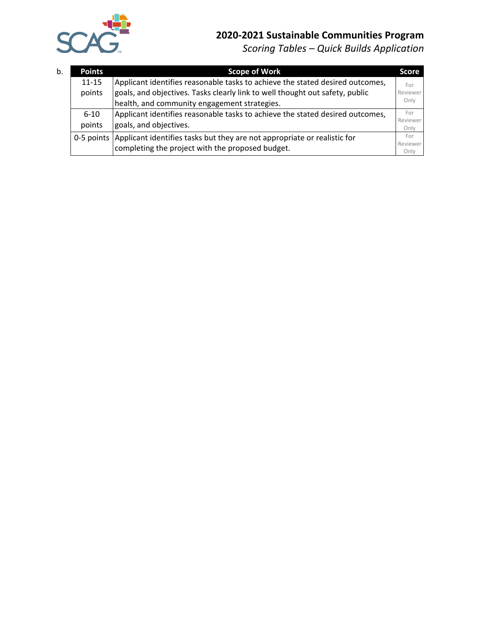

# **2020‐2021 Sustainable Communities Program**

*Scoring Tables – Quick Builds Application*

| b. | <b>Points</b>       | <b>Scope of Work</b>                                                                                                                                                                                          | <b>Score</b>            |
|----|---------------------|---------------------------------------------------------------------------------------------------------------------------------------------------------------------------------------------------------------|-------------------------|
|    | $11 - 15$<br>points | Applicant identifies reasonable tasks to achieve the stated desired outcomes,<br>goals, and objectives. Tasks clearly link to well thought out safety, public<br>health, and community engagement strategies. | For<br>Reviewer<br>Only |
|    | $6 - 10$<br>points  | Applicant identifies reasonable tasks to achieve the stated desired outcomes,<br>goals, and objectives.                                                                                                       | For<br>Reviewer<br>Only |
|    |                     | 0-5 points Applicant identifies tasks but they are not appropriate or realistic for<br>completing the project with the proposed budget.                                                                       | For<br>Reviewer<br>Only |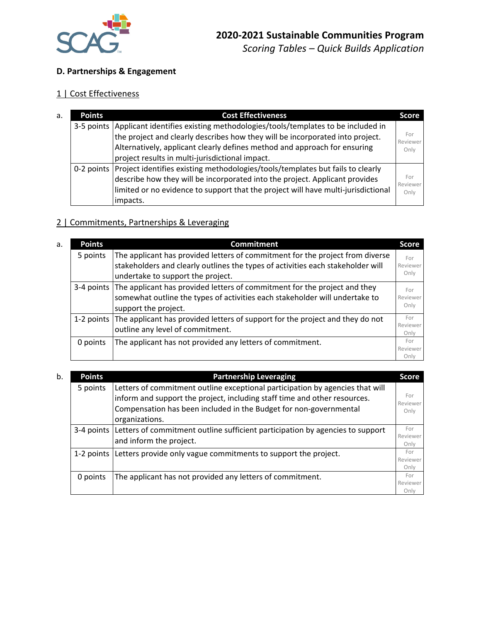

# **D. Partnerships & Engagement**

## 1 | Cost Effectiveness

| a. | <b>Points</b> | <b>Cost Effectiveness</b>                                                                 | Score           |
|----|---------------|-------------------------------------------------------------------------------------------|-----------------|
|    |               | 3-5 points Applicant identifies existing methodologies/tools/templates to be included in  |                 |
|    |               | the project and clearly describes how they will be incorporated into project.             | For<br>Reviewer |
|    |               | Alternatively, applicant clearly defines method and approach for ensuring                 | Only            |
|    |               | project results in multi-jurisdictional impact.                                           |                 |
|    |               | 0-2 points Project identifies existing methodologies/tools/templates but fails to clearly |                 |
|    |               | describe how they will be incorporated into the project. Applicant provides               | For<br>Reviewer |
|    |               | limited or no evidence to support that the project will have multi-jurisdictional         | Only            |
|    |               | impacts.                                                                                  |                 |

# 2 | Commitments, Partnerships & Leveraging

| a. | <b>Points</b> | <b>Commitment</b>                                                                        | <b>Score</b>     |
|----|---------------|------------------------------------------------------------------------------------------|------------------|
|    | 5 points      | The applicant has provided letters of commitment for the project from diverse            | For              |
|    |               | stakeholders and clearly outlines the types of activities each stakeholder will          | Reviewer         |
|    |               | undertake to support the project.                                                        | Only             |
|    |               | 3-4 points The applicant has provided letters of commitment for the project and they     | For              |
|    |               | somewhat outline the types of activities each stakeholder will undertake to              | Reviewer         |
|    |               | support the project.                                                                     | Only             |
|    |               | 1-2 points The applicant has provided letters of support for the project and they do not | For              |
|    |               | outline any level of commitment.                                                         | Reviewer<br>Only |
|    | 0 points      | The applicant has not provided any letters of commitment.                                | For              |
|    |               |                                                                                          | Reviewer         |
|    |               |                                                                                          | Onlv             |

| b. | <b>Partnership Leveraging</b><br><b>Points</b> |                                                                                          | <b>Score</b>     |
|----|------------------------------------------------|------------------------------------------------------------------------------------------|------------------|
|    | 5 points                                       | Letters of commitment outline exceptional participation by agencies that will            |                  |
|    |                                                | inform and support the project, including staff time and other resources.                | For<br>Reviewer  |
|    |                                                | Compensation has been included in the Budget for non-governmental                        | Only             |
|    |                                                | organizations.                                                                           |                  |
|    |                                                | 3-4 points Letters of commitment outline sufficient participation by agencies to support | For              |
|    |                                                | and inform the project.                                                                  | Reviewer<br>Only |
|    | 1-2 points                                     | Letters provide only vague commitments to support the project.                           | For              |
|    |                                                |                                                                                          | Reviewer         |
|    |                                                |                                                                                          | Only             |
|    | 0 points                                       | The applicant has not provided any letters of commitment.                                | For<br>Reviewer  |
|    |                                                |                                                                                          | Only             |
|    |                                                |                                                                                          |                  |